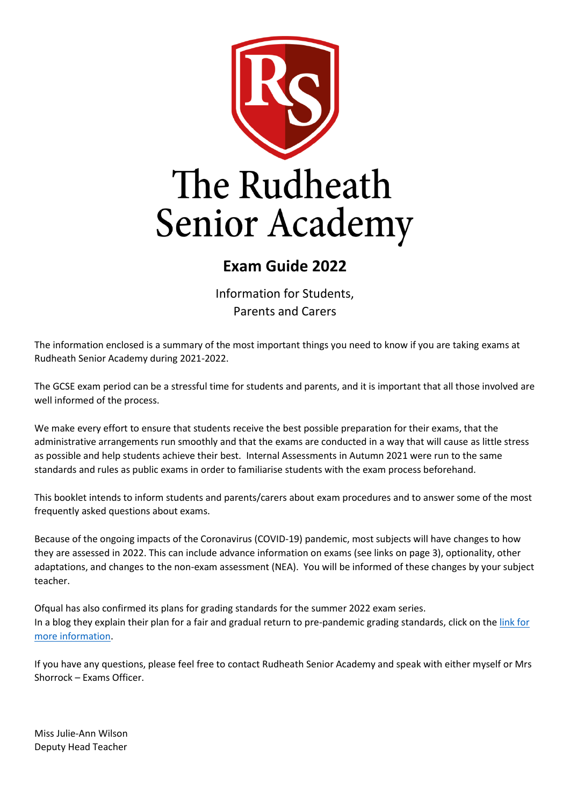

## **Exam Guide 2022**

Information for Students, Parents and Carers

The information enclosed is a summary of the most important things you need to know if you are taking exams at Rudheath Senior Academy during 2021-2022.

The GCSE exam period can be a stressful time for students and parents, and it is important that all those involved are well informed of the process.

We make every effort to ensure that students receive the best possible preparation for their exams, that the administrative arrangements run smoothly and that the exams are conducted in a way that will cause as little stress as possible and help students achieve their best. Internal Assessments in Autumn 2021 were run to the same standards and rules as public exams in order to familiarise students with the exam process beforehand.

This booklet intends to inform students and parents/carers about exam procedures and to answer some of the most frequently asked questions about exams.

Because of the ongoing impacts of the Coronavirus (COVID-19) pandemic, most subjects will have changes to how they are assessed in 2022. This can include advance information on exams (see links on page 3), optionality, other adaptations, and changes to the non-exam assessment (NEA). You will be informed of these changes by your subject teacher.

Ofqual has also confirmed its plans for grading standards for the summer 2022 exam series. In a blog they explain their plan for a fair and gradual return to pre-pandemic grading standards, click on the [link for](https://www.gov.uk/government/speeches/ofquals-approach-to-grading-exams-and-assessments-in-summer-2022-and-autumn-2021)  [more information.](https://www.gov.uk/government/speeches/ofquals-approach-to-grading-exams-and-assessments-in-summer-2022-and-autumn-2021)

If you have any questions, please feel free to contact Rudheath Senior Academy and speak with either myself or Mrs Shorrock – Exams Officer.

Miss Julie-Ann Wilson Deputy Head Teacher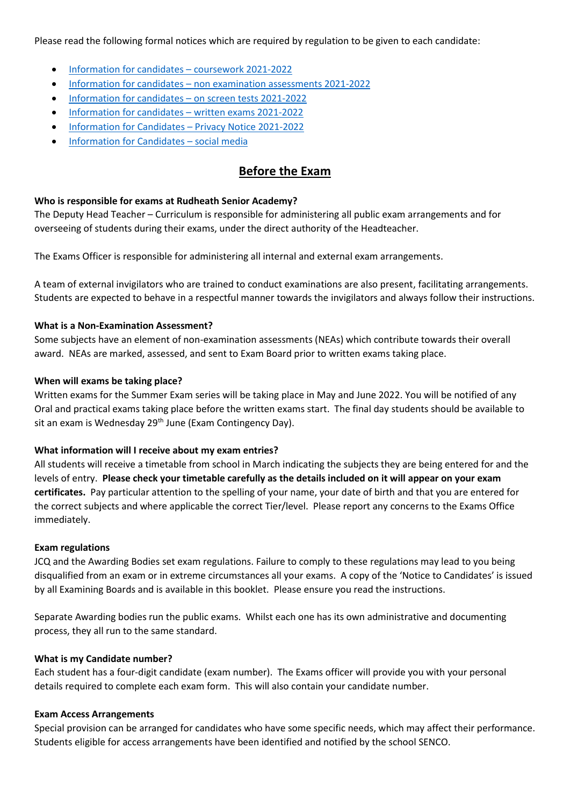Please read the following formal notices which are required by regulation to be given to each candidate:

- [Information for candidates](https://www.jcq.org.uk/wp-content/uploads/2021/08/IFC-Coursework_Assessments_2021_v4.pdf)  coursework 2021-2022
- Information for candidates [non examination assessments 2021-2022](https://www.jcq.org.uk/wp-content/uploads/2021/08/IFC-NE_Assessments_2021_v4.pdf)
- [Information for candidates](https://www.jcq.org.uk/wp-content/uploads/2021/08/IFC-On-Screen_Examinations_2021_v3.pdf)  on screen tests 2021-2022
- [Information for candidates](https://www.jcq.org.uk/wp-content/uploads/2021/08/IFC-Written_Examinations_2021_v5.pdf)  written exams 2021-2022
- [Information for Candidates](https://www.jcq.org.uk/wp-content/uploads/2021/09/Information-for-candidates-Privacy-Notice_21-22.pdf)  Privacy Notice 2021-2022
- [Information for Candidates](https://www.jcq.org.uk/wp-content/uploads/2021/09/Social-Media-Information-for-Candidates_Final.pdf)  social media

## **Before the Exam**

#### **Who is responsible for exams at Rudheath Senior Academy?**

The Deputy Head Teacher – Curriculum is responsible for administering all public exam arrangements and for overseeing of students during their exams, under the direct authority of the Headteacher.

The Exams Officer is responsible for administering all internal and external exam arrangements.

A team of external invigilators who are trained to conduct examinations are also present, facilitating arrangements. Students are expected to behave in a respectful manner towards the invigilators and always follow their instructions.

#### **What is a Non-Examination Assessment?**

Some subjects have an element of non-examination assessments (NEAs) which contribute towards their overall award. NEAs are marked, assessed, and sent to Exam Board prior to written exams taking place.

#### **When will exams be taking place?**

Written exams for the Summer Exam series will be taking place in May and June 2022. You will be notified of any Oral and practical exams taking place before the written exams start. The final day students should be available to sit an exam is Wednesday 29<sup>th</sup> June (Exam Contingency Day).

#### **What information will I receive about my exam entries?**

All students will receive a timetable from school in March indicating the subjects they are being entered for and the levels of entry. **Please check your timetable carefully as the details included on it will appear on your exam certificates.** Pay particular attention to the spelling of your name, your date of birth and that you are entered for the correct subjects and where applicable the correct Tier/level. Please report any concerns to the Exams Office immediately.

#### **Exam regulations**

JCQ and the Awarding Bodies set exam regulations. Failure to comply to these regulations may lead to you being disqualified from an exam or in extreme circumstances all your exams. A copy of the 'Notice to Candidates' is issued by all Examining Boards and is available in this booklet. Please ensure you read the instructions.

Separate Awarding bodies run the public exams. Whilst each one has its own administrative and documenting process, they all run to the same standard.

#### **What is my Candidate number?**

Each student has a four-digit candidate (exam number). The Exams officer will provide you with your personal details required to complete each exam form. This will also contain your candidate number.

#### **Exam Access Arrangements**

Special provision can be arranged for candidates who have some specific needs, which may affect their performance. Students eligible for access arrangements have been identified and notified by the school SENCO.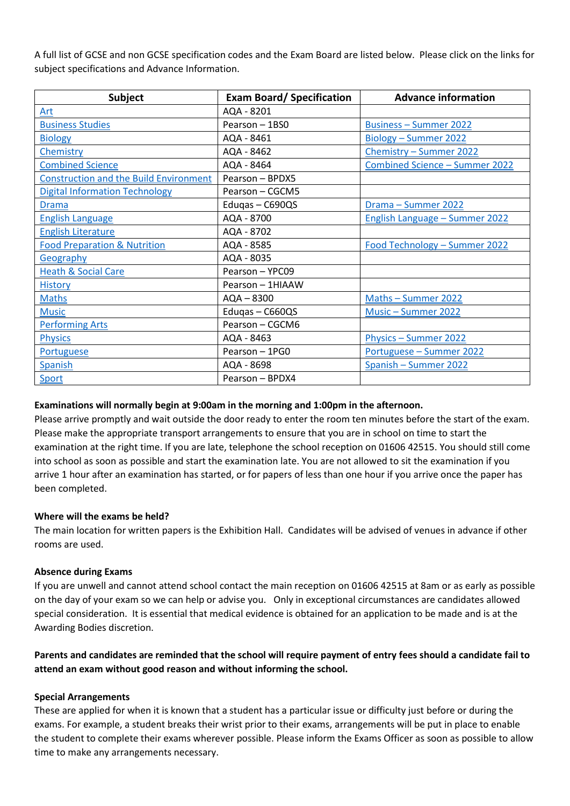A full list of GCSE and non GCSE specification codes and the Exam Board are listed below. Please click on the links for subject specifications and Advance Information.

| <b>Subject</b>                                | <b>Exam Board/Specification</b> | <b>Advance information</b>     |  |
|-----------------------------------------------|---------------------------------|--------------------------------|--|
| Art                                           | AQA - 8201                      |                                |  |
| <b>Business Studies</b>                       | Pearson - 1BS0                  | <b>Business - Summer 2022</b>  |  |
| <b>Biology</b>                                | AQA - 8461                      | Biology - Summer 2022          |  |
| Chemistry                                     | AQA - 8462                      | Chemistry - Summer 2022        |  |
| <b>Combined Science</b>                       | AQA - 8464                      | Combined Science - Summer 2022 |  |
| <b>Construction and the Build Environment</b> | Pearson - BPDX5                 |                                |  |
| <b>Digital Information Technology</b>         | Pearson - CGCM5                 |                                |  |
| <b>Drama</b>                                  | Edugas - C690QS                 | Drama - Summer 2022            |  |
| <b>English Language</b>                       | AQA - 8700                      | English Language - Summer 2022 |  |
| <b>English Literature</b>                     | AQA - 8702                      |                                |  |
| <b>Food Preparation &amp; Nutrition</b>       | AQA - 8585                      | Food Technology - Summer 2022  |  |
| Geography                                     | AQA - 8035                      |                                |  |
| <b>Heath &amp; Social Care</b>                | Pearson - YPC09                 |                                |  |
| <b>History</b>                                | Pearson - 1HIAAW                |                                |  |
| <b>Maths</b>                                  | $AQA - 8300$                    | Maths - Summer 2022            |  |
| <b>Music</b>                                  | Edugas - C660QS                 | Music - Summer 2022            |  |
| <b>Performing Arts</b>                        | Pearson - CGCM6                 |                                |  |
| <b>Physics</b>                                | AQA - 8463                      | Physics - Summer 2022          |  |
| Portuguese                                    | Pearson - 1PG0                  | Portuguese - Summer 2022       |  |
| Spanish                                       | AQA - 8698                      | Spanish - Summer 2022          |  |
| Sport                                         | Pearson - BPDX4                 |                                |  |

#### **Examinations will normally begin at 9:00am in the morning and 1:00pm in the afternoon.**

Please arrive promptly and wait outside the door ready to enter the room ten minutes before the start of the exam. Please make the appropriate transport arrangements to ensure that you are in school on time to start the examination at the right time. If you are late, telephone the school reception on 01606 42515. You should still come into school as soon as possible and start the examination late. You are not allowed to sit the examination if you arrive 1 hour after an examination has started, or for papers of less than one hour if you arrive once the paper has been completed.

#### **Where will the exams be held?**

The main location for written papers is the Exhibition Hall. Candidates will be advised of venues in advance if other rooms are used.

#### **Absence during Exams**

If you are unwell and cannot attend school contact the main reception on 01606 42515 at 8am or as early as possible on the day of your exam so we can help or advise you. Only in exceptional circumstances are candidates allowed special consideration. It is essential that medical evidence is obtained for an application to be made and is at the Awarding Bodies discretion.

#### **Parents and candidates are reminded that the school will require payment of entry fees should a candidate fail to attend an exam without good reason and without informing the school.**

#### **Special Arrangements**

These are applied for when it is known that a student has a particular issue or difficulty just before or during the exams. For example, a student breaks their wrist prior to their exams, arrangements will be put in place to enable the student to complete their exams wherever possible. Please inform the Exams Officer as soon as possible to allow time to make any arrangements necessary.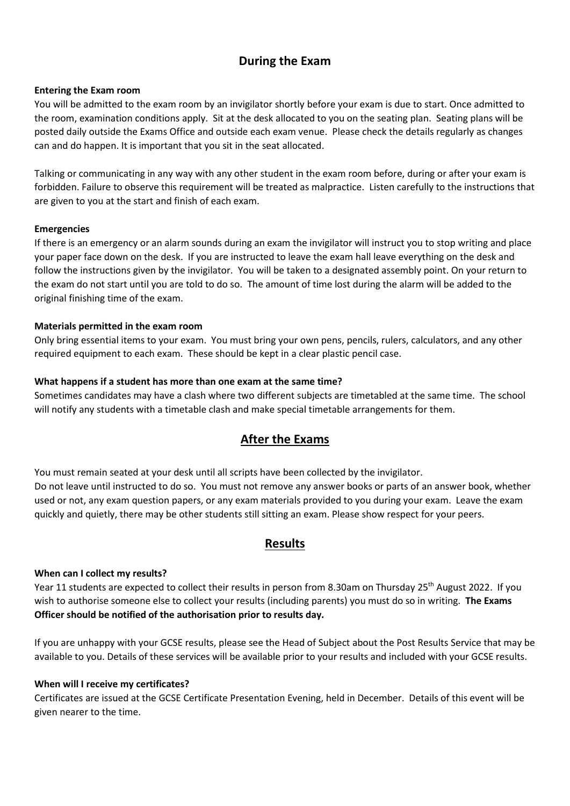## **During the Exam**

#### **Entering the Exam room**

You will be admitted to the exam room by an invigilator shortly before your exam is due to start. Once admitted to the room, examination conditions apply. Sit at the desk allocated to you on the seating plan. Seating plans will be posted daily outside the Exams Office and outside each exam venue. Please check the details regularly as changes can and do happen. It is important that you sit in the seat allocated.

Talking or communicating in any way with any other student in the exam room before, during or after your exam is forbidden. Failure to observe this requirement will be treated as malpractice. Listen carefully to the instructions that are given to you at the start and finish of each exam.

#### **Emergencies**

If there is an emergency or an alarm sounds during an exam the invigilator will instruct you to stop writing and place your paper face down on the desk. If you are instructed to leave the exam hall leave everything on the desk and follow the instructions given by the invigilator. You will be taken to a designated assembly point. On your return to the exam do not start until you are told to do so. The amount of time lost during the alarm will be added to the original finishing time of the exam.

#### **Materials permitted in the exam room**

Only bring essential items to your exam. You must bring your own pens, pencils, rulers, calculators, and any other required equipment to each exam. These should be kept in a clear plastic pencil case.

#### **What happens if a student has more than one exam at the same time?**

Sometimes candidates may have a clash where two different subjects are timetabled at the same time. The school will notify any students with a timetable clash and make special timetable arrangements for them.

### **After the Exams**

You must remain seated at your desk until all scripts have been collected by the invigilator. Do not leave until instructed to do so. You must not remove any answer books or parts of an answer book, whether used or not, any exam question papers, or any exam materials provided to you during your exam. Leave the exam quickly and quietly, there may be other students still sitting an exam. Please show respect for your peers.

#### **Results**

#### **When can I collect my results?**

Year 11 students are expected to collect their results in person from 8.30am on Thursday 25<sup>th</sup> August 2022. If you wish to authorise someone else to collect your results (including parents) you must do so in writing. **The Exams Officer should be notified of the authorisation prior to results day.**

If you are unhappy with your GCSE results, please see the Head of Subject about the Post Results Service that may be available to you. Details of these services will be available prior to your results and included with your GCSE results.

#### **When will I receive my certificates?**

Certificates are issued at the GCSE Certificate Presentation Evening, held in December. Details of this event will be given nearer to the time.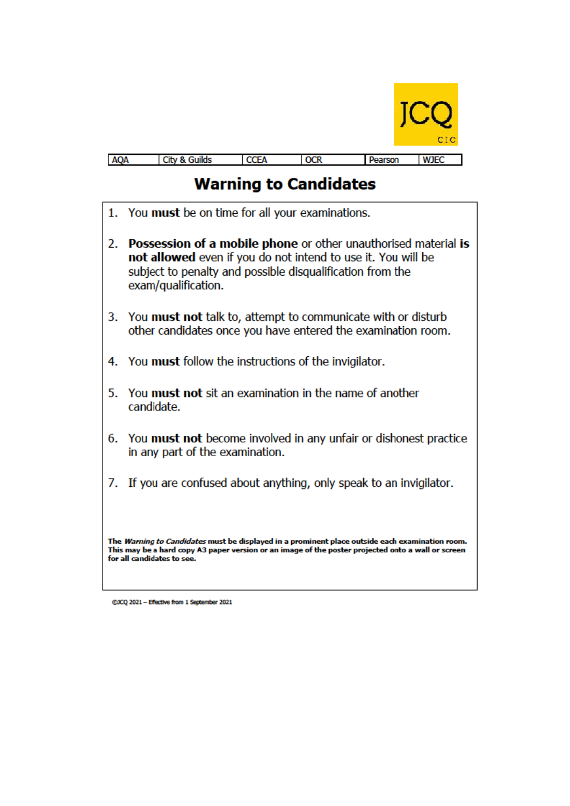

| <b>AQA</b><br>$\sim$ |  | .<br>- | π<br>M |
|----------------------|--|--------|--------|

# **Warning to Candidates**

- 1. You must be on time for all your examinations.
- 2. Possession of a mobile phone or other unauthorised material is not allowed even if you do not intend to use it. You will be subject to penalty and possible disqualification from the exam/qualification.
- 3. You must not talk to, attempt to communicate with or disturb other candidates once you have entered the examination room.
- 4. You must follow the instructions of the invigilator.
- 5. You must not sit an examination in the name of another candidate.
- 6. You must not become involved in any unfair or dishonest practice in any part of the examination.
- 7. If you are confused about anything, only speak to an invigilator.

The Warning to Candidates must be displayed in a prominent place outside each examination room. This may be a hard copy A3 paper version or an image of the poster projected onto a wall or screen for all candidates to see.

@JCQ 2021 - Effective from 1 September 2021